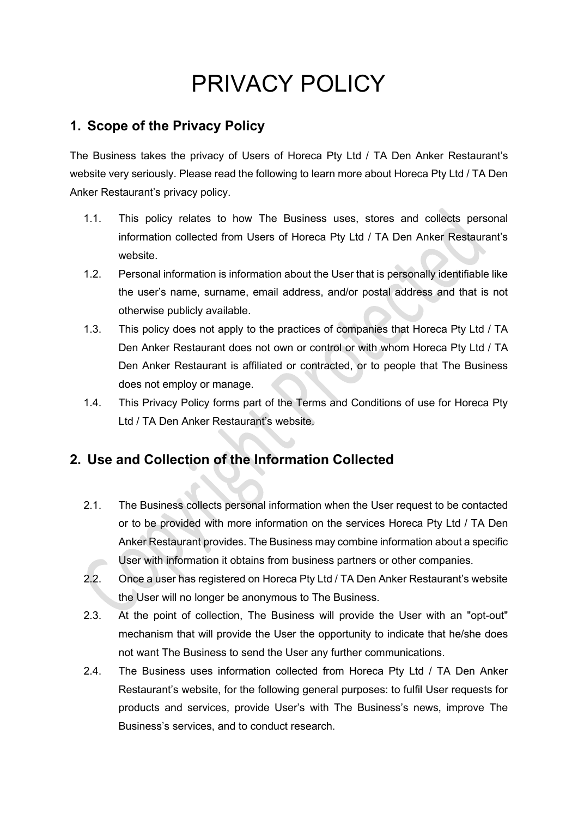# PRIVACY POLICY

#### **1. Scope of the Privacy Policy**

The Business takes the privacy of Users of Horeca Pty Ltd / TA Den Anker Restaurant's website very seriously. Please read the following to learn more about Horeca Pty Ltd / TA Den Anker Restaurant's privacy policy.

- 1.1. This policy relates to how The Business uses, stores and collects personal information collected from Users of Horeca Pty Ltd / TA Den Anker Restaurant's website.
- 1.2. Personal information is information about the User that is personally identifiable like the user's name, surname, email address, and/or postal address and that is not otherwise publicly available.
- 1.3. This policy does not apply to the practices of companies that Horeca Pty Ltd / TA Den Anker Restaurant does not own or control or with whom Horeca Pty Ltd / TA Den Anker Restaurant is affiliated or contracted, or to people that The Business does not employ or manage.
- 1.4. This Privacy Policy forms part of the Terms and Conditions of use for Horeca Pty Ltd / TA Den Anker Restaurant's website.

## **2. Use and Collection of the Information Collected**

- 2.1. The Business collects personal information when the User request to be contacted or to be provided with more information on the services Horeca Pty Ltd / TA Den Anker Restaurant provides. The Business may combine information about a specific User with information it obtains from business partners or other companies.
- 2.2. Once a user has registered on Horeca Pty Ltd / TA Den Anker Restaurant's website the User will no longer be anonymous to The Business.
- 2.3. At the point of collection, The Business will provide the User with an "opt-out" mechanism that will provide the User the opportunity to indicate that he/she does not want The Business to send the User any further communications.
- 2.4. The Business uses information collected from Horeca Pty Ltd / TA Den Anker Restaurant's website, for the following general purposes: to fulfil User requests for products and services, provide User's with The Business's news, improve The Business's services, and to conduct research.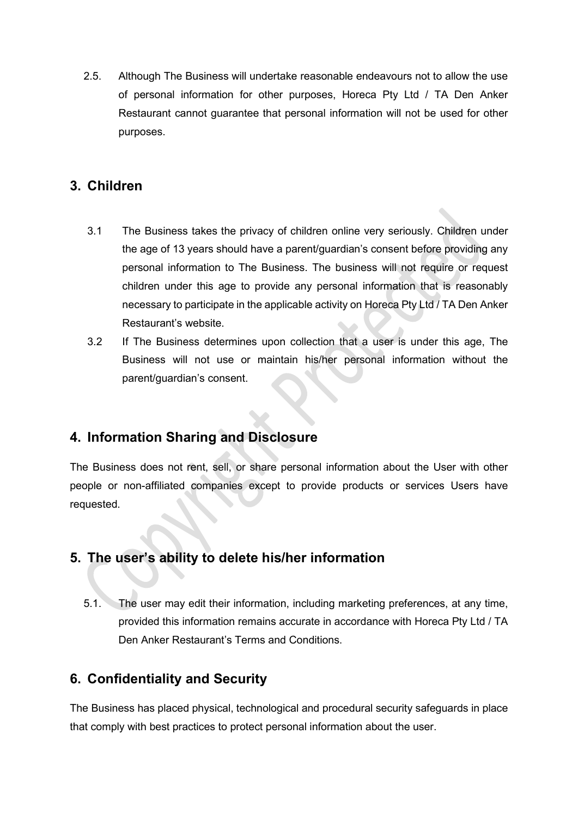2.5. Although The Business will undertake reasonable endeavours not to allow the use of personal information for other purposes, Horeca Pty Ltd / TA Den Anker Restaurant cannot guarantee that personal information will not be used for other purposes.

#### **3. Children**

- 3.1 The Business takes the privacy of children online very seriously. Children under the age of 13 years should have a parent/guardian's consent before providing any personal information to The Business. The business will not require or request children under this age to provide any personal information that is reasonably necessary to participate in the applicable activity on Horeca Pty Ltd / TA Den Anker Restaurant's website.
- 3.2 If The Business determines upon collection that a user is under this age, The Business will not use or maintain his/her personal information without the parent/guardian's consent.

#### **4. Information Sharing and Disclosure**

The Business does not rent, sell, or share personal information about the User with other people or non-affiliated companies except to provide products or services Users have requested.

#### **5. The user's ability to delete his/her information**

5.1. The user may edit their information, including marketing preferences, at any time, provided this information remains accurate in accordance with Horeca Pty Ltd / TA Den Anker Restaurant's Terms and Conditions.

## **6. Confidentiality and Security**

The Business has placed physical, technological and procedural security safeguards in place that comply with best practices to protect personal information about the user.